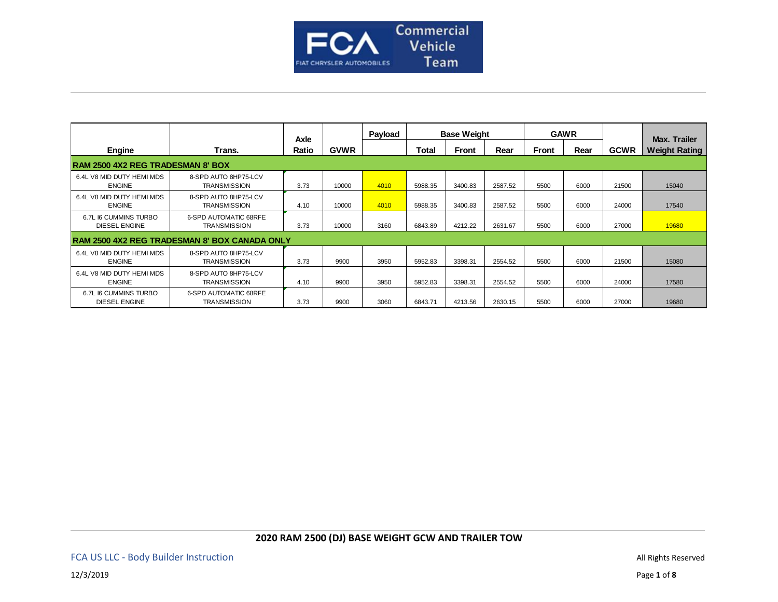

|                                               |                                                     | Axle  |             | Payload |         | <b>Base Weight</b> |         |              | <b>GAWR</b> |             | Max. Trailer         |
|-----------------------------------------------|-----------------------------------------------------|-------|-------------|---------|---------|--------------------|---------|--------------|-------------|-------------|----------------------|
| <b>Engine</b>                                 | Trans.                                              | Ratio | <b>GVWR</b> |         | Total   | Front              | Rear    | <b>Front</b> | Rear        | <b>GCWR</b> | <b>Weight Rating</b> |
| <b>RAM 2500 4X2 REG TRADESMAN 8' BOX</b>      |                                                     |       |             |         |         |                    |         |              |             |             |                      |
| 6.4L V8 MID DUTY HEMI MDS<br><b>ENGINE</b>    | 8-SPD AUTO 8HP75-LCV<br><b>TRANSMISSION</b>         | 3.73  | 10000       | 4010    | 5988.35 | 3400.83            | 2587.52 | 5500         | 6000        | 21500       | 15040                |
| 6.4L V8 MID DUTY HEMI MDS<br><b>ENGINE</b>    | 8-SPD AUTO 8HP75-LCV<br><b>TRANSMISSION</b>         | 4.10  | 10000       | 4010    | 5988.35 | 3400.83            | 2587.52 | 5500         | 6000        | 24000       | 17540                |
| 6.7L I6 CUMMINS TURBO<br><b>DIESEL ENGINE</b> | <b>6-SPD AUTOMATIC 68RFE</b><br><b>TRANSMISSION</b> | 3.73  | 10000       | 3160    | 6843.89 | 4212.22            | 2631.67 | 5500         | 6000        | 27000       | 19680                |
|                                               | RAM 2500 4X2 REG TRADESMAN 8' BOX CANADA ONLY       |       |             |         |         |                    |         |              |             |             |                      |
| 6.4L V8 MID DUTY HEMI MDS<br><b>ENGINE</b>    | 8-SPD AUTO 8HP75-LCV<br><b>TRANSMISSION</b>         | 3.73  | 9900        | 3950    | 5952.83 | 3398.31            | 2554.52 | 5500         | 6000        | 21500       | 15080                |
| 6.4L V8 MID DUTY HEMI MDS<br><b>ENGINE</b>    | 8-SPD AUTO 8HP75-LCV<br><b>TRANSMISSION</b>         | 4.10  | 9900        | 3950    | 5952.83 | 3398.31            | 2554.52 | 5500         | 6000        | 24000       | 17580                |
| 6.7L I6 CUMMINS TURBO<br><b>DIESEL ENGINE</b> | <b>6-SPD AUTOMATIC 68RFE</b><br><b>TRANSMISSION</b> | 3.73  | 9900        | 3060    | 6843.71 | 4213.56            | 2630.15 | 5500         | 6000        | 27000       | 19680                |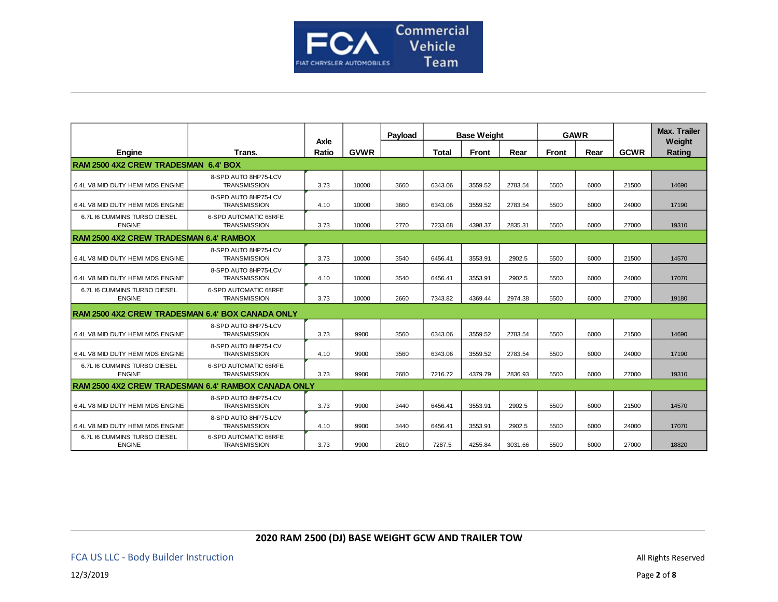

|                                                     |                                                     |               |             | Payload | <b>Base Weight</b> |         |         |              | <b>GAWR</b> |             | <b>Max. Trailer</b> |
|-----------------------------------------------------|-----------------------------------------------------|---------------|-------------|---------|--------------------|---------|---------|--------------|-------------|-------------|---------------------|
| Engine                                              | Trans.                                              | Axle<br>Ratio | <b>GVWR</b> |         | <b>Total</b>       | Front   | Rear    | <b>Front</b> | Rear        | <b>GCWR</b> | Weight<br>Rating    |
| <b>RAM 2500 4X2 CREW TRADESMAN 6.4' BOX</b>         |                                                     |               |             |         |                    |         |         |              |             |             |                     |
| 6.4L V8 MID DUTY HEMI MDS ENGINE                    | 8-SPD AUTO 8HP75-LCV<br><b>TRANSMISSION</b>         | 3.73          | 10000       | 3660    | 6343.06            | 3559.52 | 2783.54 | 5500         | 6000        | 21500       | 14690               |
| 6.4L V8 MID DUTY HEMI MDS ENGINE                    | 8-SPD AUTO 8HP75-LCV<br><b>TRANSMISSION</b>         | 4.10          | 10000       | 3660    | 6343.06            | 3559.52 | 2783.54 | 5500         | 6000        | 24000       | 17190               |
| 6.7L I6 CUMMINS TURBO DIESEL<br><b>ENGINE</b>       | 6-SPD AUTOMATIC 68RFE<br><b>TRANSMISSION</b>        | 3.73          | 10000       | 2770    | 7233.68            | 4398.37 | 2835.31 | 5500         | 6000        | 27000       | 19310               |
| <b>RAM 2500 4X2 CREW TRADESMAN 6.4' RAMBOX</b>      |                                                     |               |             |         |                    |         |         |              |             |             |                     |
| 6.4L V8 MID DUTY HEMI MDS ENGINE                    | 8-SPD AUTO 8HP75-LCV<br><b>TRANSMISSION</b>         | 3.73          | 10000       | 3540    | 6456.41            | 3553.91 | 2902.5  | 5500         | 6000        | 21500       | 14570               |
| 6.4L V8 MID DUTY HEMI MDS ENGINE                    | 8-SPD AUTO 8HP75-LCV<br><b>TRANSMISSION</b>         | 4.10          | 10000       | 3540    | 6456.41            | 3553.91 | 2902.5  | 5500         | 6000        | 24000       | 17070               |
| 6.7L I6 CUMMINS TURBO DIESEL<br><b>ENGINE</b>       | <b>6-SPD AUTOMATIC 68RFE</b><br><b>TRANSMISSION</b> | 3.73          | 10000       | 2660    | 7343.82            | 4369.44 | 2974.38 | 5500         | 6000        | 27000       | 19180               |
| RAM 2500 4X2 CREW TRADESMAN 6.4' BOX CANADA ONLY    |                                                     |               |             |         |                    |         |         |              |             |             |                     |
| 6.4L V8 MID DUTY HEMI MDS ENGINE                    | 8-SPD AUTO 8HP75-LCV<br><b>TRANSMISSION</b>         | 3.73          | 9900        | 3560    | 6343.06            | 3559.52 | 2783.54 | 5500         | 6000        | 21500       | 14690               |
| 6.4L V8 MID DUTY HEMI MDS ENGINE                    | 8-SPD AUTO 8HP75-LCV<br><b>TRANSMISSION</b>         | 4.10          | 9900        | 3560    | 6343.06            | 3559.52 | 2783.54 | 5500         | 6000        | 24000       | 17190               |
| 6.7L I6 CUMMINS TURBO DIESEL<br><b>ENGINE</b>       | <b>6-SPD AUTOMATIC 68RFE</b><br><b>TRANSMISSION</b> | 3.73          | 9900        | 2680    | 7216.72            | 4379.79 | 2836.93 | 5500         | 6000        | 27000       | 19310               |
| RAM 2500 4X2 CREW TRADESMAN 6.4' RAMBOX CANADA ONLY |                                                     |               |             |         |                    |         |         |              |             |             |                     |
| 6.4L V8 MID DUTY HEMI MDS ENGINE                    | 8-SPD AUTO 8HP75-LCV<br><b>TRANSMISSION</b>         | 3.73          | 9900        | 3440    | 6456.41            | 3553.91 | 2902.5  | 5500         | 6000        | 21500       | 14570               |
| 6.4L V8 MID DUTY HEMI MDS ENGINE                    | 8-SPD AUTO 8HP75-LCV<br><b>TRANSMISSION</b>         | 4.10          | 9900        | 3440    | 6456.41            | 3553.91 | 2902.5  | 5500         | 6000        | 24000       | 17070               |
| 6.7L I6 CUMMINS TURBO DIESEL<br><b>ENGINE</b>       | <b>6-SPD AUTOMATIC 68RFE</b><br><b>TRANSMISSION</b> | 3.73          | 9900        | 2610    | 7287.5             | 4255.84 | 3031.66 | 5500         | 6000        | 27000       | 18820               |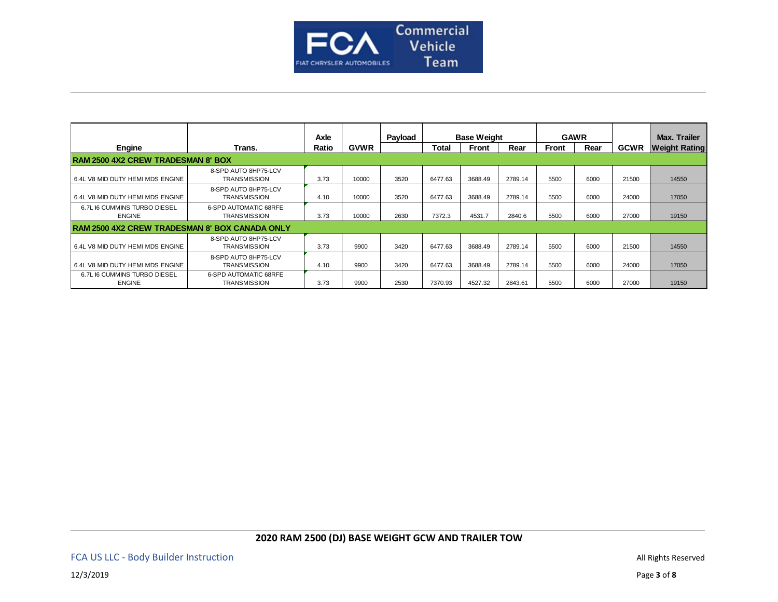

|                                                       |                                                     | Axle  |             | Payload |              | <b>Base Weight</b> | <b>GAWR</b> |       |      |             | Max. Trailer         |
|-------------------------------------------------------|-----------------------------------------------------|-------|-------------|---------|--------------|--------------------|-------------|-------|------|-------------|----------------------|
| <b>Engine</b>                                         | Trans.                                              | Ratio | <b>GVWR</b> |         | <b>Total</b> | <b>Front</b>       | Rear        | Front | Rear | <b>GCWR</b> | <b>Weight Rating</b> |
| <b>RAM 2500 4X2 CREW TRADESMAN 8' BOX</b>             |                                                     |       |             |         |              |                    |             |       |      |             |                      |
| 6.4L V8 MID DUTY HEMI MDS ENGINE                      | 8-SPD AUTO 8HP75-LCV<br><b>TRANSMISSION</b>         | 3.73  | 10000       | 3520    | 6477.63      | 3688.49            | 2789.14     | 5500  | 6000 | 21500       | 14550                |
| 6.4L V8 MID DUTY HEMI MDS ENGINE                      | 8-SPD AUTO 8HP75-LCV<br><b>TRANSMISSION</b>         | 4.10  | 10000       | 3520    | 6477.63      | 3688.49            | 2789.14     | 5500  | 6000 | 24000       | 17050                |
| 6.7L I6 CUMMINS TURBO DIESEL<br><b>ENGINE</b>         | <b>6-SPD AUTOMATIC 68RFE</b><br><b>TRANSMISSION</b> | 3.73  | 10000       | 2630    | 7372.3       | 4531.7             | 2840.6      | 5500  | 6000 | 27000       | 19150                |
| <b>RAM 2500 4X2 CREW TRADESMAN 8' BOX CANADA ONLY</b> |                                                     |       |             |         |              |                    |             |       |      |             |                      |
| 6.4L V8 MID DUTY HEMI MDS ENGINE                      | 8-SPD AUTO 8HP75-LCV<br><b>TRANSMISSION</b>         | 3.73  | 9900        | 3420    | 6477.63      | 3688.49            | 2789.14     | 5500  | 6000 | 21500       | 14550                |
| 6.4L V8 MID DUTY HEMI MDS ENGINE                      | 8-SPD AUTO 8HP75-LCV<br><b>TRANSMISSION</b>         | 4.10  | 9900        | 3420    | 6477.63      | 3688.49            | 2789.14     | 5500  | 6000 | 24000       | 17050                |
| 6.7L I6 CUMMINS TURBO DIESEL<br><b>ENGINE</b>         | <b>6-SPD AUTOMATIC 68RFE</b><br><b>TRANSMISSION</b> | 3.73  | 9900        | 2530    | 7370.93      | 4527.32            | 2843.61     | 5500  | 6000 | 27000       | 19150                |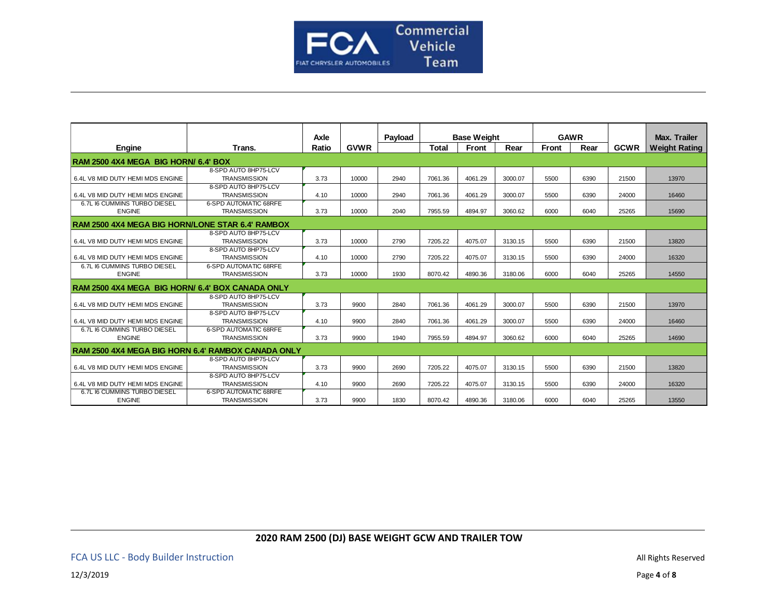

|                                                         |                                             | Axle  |             | Payload | <b>Base Weight</b> |              |         | <b>GAWR</b>  |      |             | <b>Max. Trailer</b>  |
|---------------------------------------------------------|---------------------------------------------|-------|-------------|---------|--------------------|--------------|---------|--------------|------|-------------|----------------------|
| Engine                                                  | Trans.                                      | Ratio | <b>GVWR</b> |         | <b>Total</b>       | <b>Front</b> | Rear    | <b>Front</b> | Rear | <b>GCWR</b> | <b>Weight Rating</b> |
|                                                         |                                             |       |             |         |                    |              |         |              |      |             |                      |
| RAM 2500 4X4 MEGA BIG HORN/ 6.4' BOX                    |                                             |       |             |         |                    |              |         |              |      |             |                      |
| 6.4L V8 MID DUTY HEMI MDS ENGINE                        | 8-SPD AUTO 8HP75-LCV<br><b>TRANSMISSION</b> | 3.73  | 10000       | 2940    | 7061.36            | 4061.29      | 3000.07 | 5500         | 6390 | 21500       | 13970                |
| 6.4L V8 MID DUTY HEMI MDS ENGINE                        | 8-SPD AUTO 8HP75-LCV<br><b>TRANSMISSION</b> | 4.10  | 10000       | 2940    | 7061.36            | 4061.29      | 3000.07 | 5500         | 6390 | 24000       | 16460                |
| 6.7L I6 CUMMINS TURBO DIESEL                            | <b>6-SPD AUTOMATIC 68RFE</b>                |       |             |         |                    |              |         |              |      |             |                      |
| <b>ENGINE</b>                                           | <b>TRANSMISSION</b>                         | 3.73  | 10000       | 2040    | 7955.59            | 4894.97      | 3060.62 | 6000         | 6040 | 25265       | 15690                |
| <b>RAM 2500 4X4 MEGA BIG HORN/LONE STAR 6.4' RAMBOX</b> |                                             |       |             |         |                    |              |         |              |      |             |                      |
|                                                         | 8-SPD AUTO 8HP75-LCV                        |       |             |         |                    |              |         |              |      |             |                      |
| 6.4L V8 MID DUTY HEMI MDS ENGINE                        | <b>TRANSMISSION</b>                         | 3.73  | 10000       | 2790    | 7205.22            | 4075.07      | 3130.15 | 5500         | 6390 | 21500       | 13820                |
|                                                         | 8-SPD AUTO 8HP75-LCV                        |       |             |         |                    |              |         |              |      |             |                      |
| 6.4L V8 MID DUTY HEMI MDS ENGINE                        | <b>TRANSMISSION</b>                         | 4.10  | 10000       | 2790    | 7205.22            | 4075.07      | 3130.15 | 5500         | 6390 | 24000       | 16320                |
| 6.7L I6 CUMMINS TURBO DIESEL                            | <b>6-SPD AUTOMATIC 68RFE</b>                |       |             |         |                    |              |         |              |      |             |                      |
| <b>ENGINE</b>                                           | <b>TRANSMISSION</b>                         | 3.73  | 10000       | 1930    | 8070.42            | 4890.36      | 3180.06 | 6000         | 6040 | 25265       | 14550                |
| RAM 2500 4X4 MEGA BIG HORN/ 6.4' BOX CANADA ONLY        |                                             |       |             |         |                    |              |         |              |      |             |                      |
|                                                         | 8-SPD AUTO 8HP75-LCV                        |       |             |         |                    |              |         |              |      |             |                      |
| 6.4L V8 MID DUTY HEMI MDS ENGINE                        | <b>TRANSMISSION</b>                         | 3.73  | 9900        | 2840    | 7061.36            | 4061.29      | 3000.07 | 5500         | 6390 | 21500       | 13970                |
|                                                         | 8-SPD AUTO 8HP75-LCV                        |       |             |         |                    |              |         |              |      |             |                      |
| 6.4L V8 MID DUTY HEMI MDS ENGINE                        | <b>TRANSMISSION</b>                         | 4.10  | 9900        | 2840    | 7061.36            | 4061.29      | 3000.07 | 5500         | 6390 | 24000       | 16460                |
| 6.7L I6 CUMMINS TURBO DIESEL                            | <b>6-SPD AUTOMATIC 68RFE</b>                |       |             |         |                    |              |         |              |      |             |                      |
| <b>ENGINE</b>                                           | <b>TRANSMISSION</b>                         | 3.73  | 9900        | 1940    | 7955.59            | 4894.97      | 3060.62 | 6000         | 6040 | 25265       | 14690                |
| RAM 2500 4X4 MEGA BIG HORN 6.4' RAMBOX CANADA ONLY      |                                             |       |             |         |                    |              |         |              |      |             |                      |
|                                                         | 8-SPD AUTO 8HP75-LCV                        |       |             |         |                    |              |         |              |      |             |                      |
| 6.4L V8 MID DUTY HEMI MDS ENGINE                        | <b>TRANSMISSION</b>                         | 3.73  | 9900        | 2690    | 7205.22            | 4075.07      | 3130.15 | 5500         | 6390 | 21500       | 13820                |
|                                                         | 8-SPD AUTO 8HP75-LCV                        |       |             |         |                    |              |         |              |      |             |                      |
| 6.4L V8 MID DUTY HEMI MDS ENGINE                        | <b>TRANSMISSION</b>                         | 4.10  | 9900        | 2690    | 7205.22            | 4075.07      | 3130.15 | 5500         | 6390 | 24000       | 16320                |
| 6.7L I6 CUMMINS TURBO DIESEL                            | <b>6-SPD AUTOMATIC 68RFE</b>                |       |             |         |                    |              |         |              |      |             |                      |
| <b>ENGINE</b>                                           | <b>TRANSMISSION</b>                         | 3.73  | 9900        | 1830    | 8070.42            | 4890.36      | 3180.06 | 6000         | 6040 | 25265       | 13550                |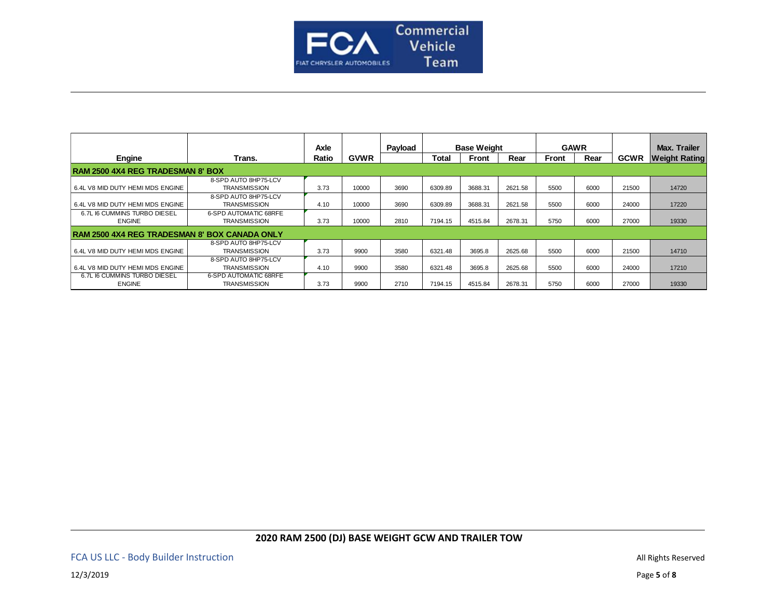

|                                                      |                                                     | Axle  |             | Payload | <b>Base Weight</b><br><b>GAWR</b> |              |         |       | <b>Max. Trailer</b> |             |                      |
|------------------------------------------------------|-----------------------------------------------------|-------|-------------|---------|-----------------------------------|--------------|---------|-------|---------------------|-------------|----------------------|
| Engine                                               | Trans.                                              | Ratio | <b>GVWR</b> |         | Total                             | <b>Front</b> | Rear    | Front | Rear                | <b>GCWR</b> | <b>Weight Rating</b> |
| <b>RAM 2500 4X4 REG TRADESMAN 8' BOX</b>             |                                                     |       |             |         |                                   |              |         |       |                     |             |                      |
| 6.4L V8 MID DUTY HEMI MDS ENGINE                     | 8-SPD AUTO 8HP75-LCV<br><b>TRANSMISSION</b>         | 3.73  | 10000       | 3690    | 6309.89                           | 3688.31      | 2621.58 | 5500  | 6000                | 21500       | 14720                |
| 6.4L V8 MID DUTY HEMI MDS ENGINE                     | 8-SPD AUTO 8HP75-LCV<br><b>TRANSMISSION</b>         | 4.10  | 10000       | 3690    | 6309.89                           | 3688.31      | 2621.58 | 5500  | 6000                | 24000       | 17220                |
| 6.7L I6 CUMMINS TURBO DIESEL<br><b>ENGINE</b>        | <b>6-SPD AUTOMATIC 68RFE</b><br><b>TRANSMISSION</b> | 3.73  | 10000       | 2810    | 7194.15                           | 4515.84      | 2678.31 | 5750  | 6000                | 27000       | 19330                |
| <b>RAM 2500 4X4 REG TRADESMAN 8' BOX CANADA ONLY</b> |                                                     |       |             |         |                                   |              |         |       |                     |             |                      |
| 6.4L V8 MID DUTY HEMI MDS ENGINE                     | 8-SPD AUTO 8HP75-LCV<br><b>TRANSMISSION</b>         | 3.73  | 9900        | 3580    | 6321.48                           | 3695.8       | 2625.68 | 5500  | 6000                | 21500       | 14710                |
| 6.4L V8 MID DUTY HEMI MDS ENGINE                     | 8-SPD AUTO 8HP75-LCV<br><b>TRANSMISSION</b>         | 4.10  | 9900        | 3580    | 6321.48                           | 3695.8       | 2625.68 | 5500  | 6000                | 24000       | 17210                |
| 6.7L I6 CUMMINS TURBO DIESEL<br><b>ENGINE</b>        | <b>6-SPD AUTOMATIC 68RFE</b><br><b>TRANSMISSION</b> | 3.73  | 9900        | 2710    | 7194.15                           | 4515.84      | 2678.31 | 5750  | 6000                | 27000       | 19330                |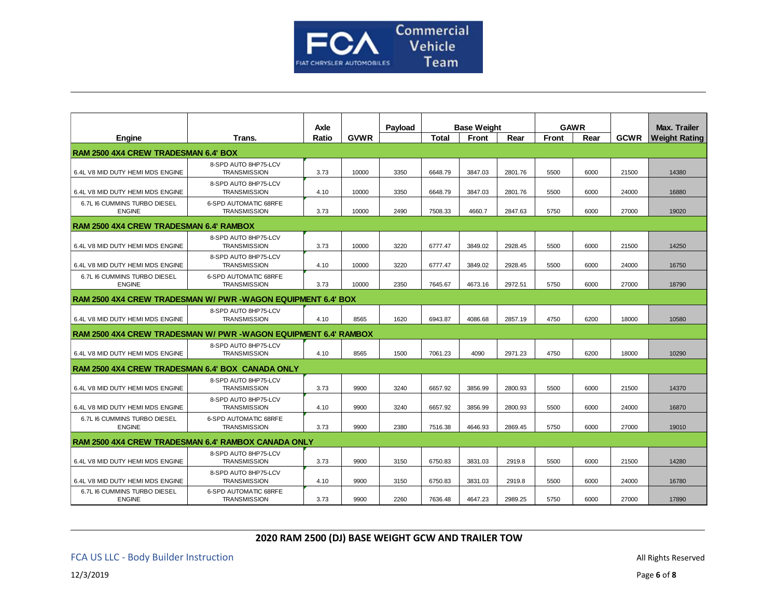

|                                                                 |                                                     | Axle  |             | Payload |              | <b>Base Weight</b> |         |              | <b>GAWR</b> |             | <b>Max. Trailer</b>  |
|-----------------------------------------------------------------|-----------------------------------------------------|-------|-------------|---------|--------------|--------------------|---------|--------------|-------------|-------------|----------------------|
| Engine                                                          | Trans.                                              | Ratio | <b>GVWR</b> |         | <b>Total</b> | Front              | Rear    | <b>Front</b> | Rear        | <b>GCWR</b> | <b>Weight Rating</b> |
| RAM 2500 4X4 CREW TRADESMAN 6.4' BOX                            |                                                     |       |             |         |              |                    |         |              |             |             |                      |
| 6.4L V8 MID DUTY HEMI MDS ENGINE                                | 8-SPD AUTO 8HP75-LCV<br><b>TRANSMISSION</b>         | 3.73  | 10000       | 3350    | 6648.79      | 3847.03            | 2801.76 | 5500         | 6000        | 21500       | 14380                |
| 6.4L V8 MID DUTY HEMI MDS ENGINE                                | 8-SPD AUTO 8HP75-LCV<br><b>TRANSMISSION</b>         | 4.10  | 10000       | 3350    | 6648.79      | 3847.03            | 2801.76 | 5500         | 6000        | 24000       | 16880                |
| 6.7L I6 CUMMINS TURBO DIESEL<br><b>ENGINE</b>                   | <b>6-SPD AUTOMATIC 68RFE</b><br><b>TRANSMISSION</b> | 3.73  | 10000       | 2490    | 7508.33      | 4660.7             | 2847.63 | 5750         | 6000        | 27000       | 19020                |
| RAM 2500 4X4 CREW TRADESMAN 6.4' RAMBOX                         |                                                     |       |             |         |              |                    |         |              |             |             |                      |
| 6.4L V8 MID DUTY HEMI MDS ENGINE                                | 8-SPD AUTO 8HP75-LCV<br><b>TRANSMISSION</b>         | 3.73  | 10000       | 3220    | 6777.47      | 3849.02            | 2928.45 | 5500         | 6000        | 21500       | 14250                |
| 6.4L V8 MID DUTY HEMI MDS ENGINE                                | 8-SPD AUTO 8HP75-LCV<br><b>TRANSMISSION</b>         | 4.10  | 10000       | 3220    | 6777.47      | 3849.02            | 2928.45 | 5500         | 6000        | 24000       | 16750                |
| 6.7L I6 CUMMINS TURBO DIESEL<br><b>ENGINE</b>                   | <b>6-SPD AUTOMATIC 68RFE</b><br><b>TRANSMISSION</b> | 3.73  | 10000       | 2350    | 7645.67      | 4673.16            | 2972.51 | 5750         | 6000        | 27000       | 18790                |
| RAM 2500 4X4 CREW TRADESMAN W/ PWR -WAGON EQUIPMENT 6.4' BOX    |                                                     |       |             |         |              |                    |         |              |             |             |                      |
| 6.4L V8 MID DUTY HEMI MDS ENGINE                                | 8-SPD AUTO 8HP75-LCV<br><b>TRANSMISSION</b>         | 4.10  | 8565        | 1620    | 6943.87      | 4086.68            | 2857.19 | 4750         | 6200        | 18000       | 10580                |
| RAM 2500 4X4 CREW TRADESMAN W/ PWR -WAGON EQUIPMENT 6.4' RAMBOX |                                                     |       |             |         |              |                    |         |              |             |             |                      |
| 6.4L V8 MID DUTY HEMI MDS ENGINE                                | 8-SPD AUTO 8HP75-LCV<br><b>TRANSMISSION</b>         | 4.10  | 8565        | 1500    | 7061.23      | 4090               | 2971.23 | 4750         | 6200        | 18000       | 10290                |
| RAM 2500 4X4 CREW TRADESMAN 6.4' BOX CANADA ONLY                |                                                     |       |             |         |              |                    |         |              |             |             |                      |
| 6.4L V8 MID DUTY HEMI MDS ENGINE                                | 8-SPD AUTO 8HP75-LCV<br><b>TRANSMISSION</b>         | 3.73  | 9900        | 3240    | 6657.92      | 3856.99            | 2800.93 | 5500         | 6000        | 21500       | 14370                |
| 6.4L V8 MID DUTY HEMI MDS ENGINE                                | 8-SPD AUTO 8HP75-LCV<br><b>TRANSMISSION</b>         | 4.10  | 9900        | 3240    | 6657.92      | 3856.99            | 2800.93 | 5500         | 6000        | 24000       | 16870                |
| 6.7L I6 CUMMINS TURBO DIESEL<br><b>ENGINE</b>                   | <b>6-SPD AUTOMATIC 68RFE</b><br><b>TRANSMISSION</b> | 3.73  | 9900        | 2380    | 7516.38      | 4646.93            | 2869.45 | 5750         | 6000        | 27000       | 19010                |
| RAM 2500 4X4 CREW TRADESMAN 6.4' RAMBOX CANADA ONLY             |                                                     |       |             |         |              |                    |         |              |             |             |                      |
| 6.4L V8 MID DUTY HEMI MDS ENGINE                                | 8-SPD AUTO 8HP75-LCV<br><b>TRANSMISSION</b>         | 3.73  | 9900        | 3150    | 6750.83      | 3831.03            | 2919.8  | 5500         | 6000        | 21500       | 14280                |
| 6.4L V8 MID DUTY HEMI MDS ENGINE                                | 8-SPD AUTO 8HP75-LCV<br><b>TRANSMISSION</b>         | 4.10  | 9900        | 3150    | 6750.83      | 3831.03            | 2919.8  | 5500         | 6000        | 24000       | 16780                |
| 6.7L I6 CUMMINS TURBO DIESEL<br><b>ENGINE</b>                   | <b>6-SPD AUTOMATIC 68RFE</b><br><b>TRANSMISSION</b> | 3.73  | 9900        | 2260    | 7636.48      | 4647.23            | 2989.25 | 5750         | 6000        | 27000       | 17890                |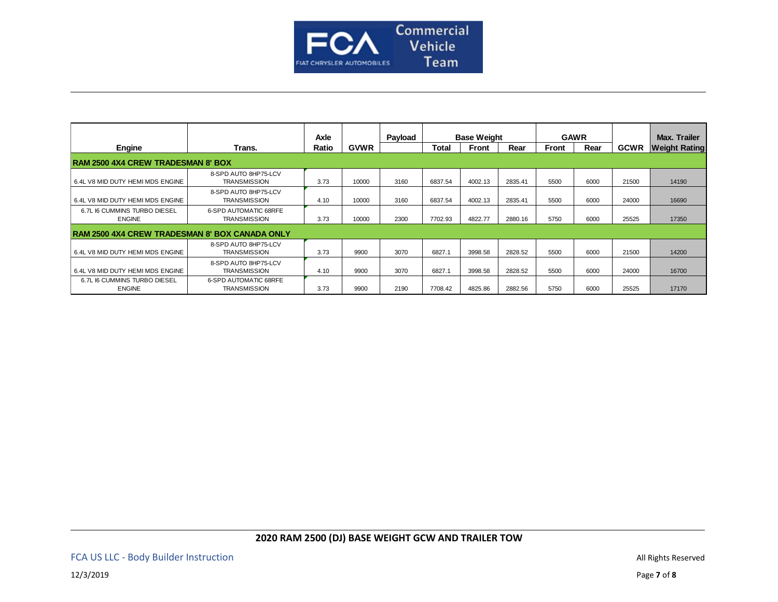

|                                                       |                                              | Axle  |             | Payload | <b>Base Weight</b> |              |         | <b>GAWR</b>  |      |             | Max. Trailer         |
|-------------------------------------------------------|----------------------------------------------|-------|-------------|---------|--------------------|--------------|---------|--------------|------|-------------|----------------------|
| Engine                                                | Trans.                                       | Ratio | <b>GVWR</b> |         | <b>Total</b>       | <b>Front</b> | Rear    | <b>Front</b> | Rear | <b>GCWR</b> | <b>Weight Rating</b> |
| <b>RAM 2500 4X4 CREW TRADESMAN 8' BOX</b>             |                                              |       |             |         |                    |              |         |              |      |             |                      |
| 6.4L V8 MID DUTY HEMI MDS ENGINE                      | 8-SPD AUTO 8HP75-LCV<br><b>TRANSMISSION</b>  | 3.73  | 10000       | 3160    | 6837.54            | 4002.13      | 2835.41 | 5500         | 6000 | 21500       | 14190                |
| 6.4L V8 MID DUTY HEMI MDS ENGINE                      | 8-SPD AUTO 8HP75-LCV<br><b>TRANSMISSION</b>  | 4.10  | 10000       | 3160    | 6837.54            | 4002.13      | 2835.41 | 5500         | 6000 | 24000       | 16690                |
| 6.7L I6 CUMMINS TURBO DIESEL<br><b>ENGINE</b>         | 6-SPD AUTOMATIC 68RFE<br><b>TRANSMISSION</b> | 3.73  | 10000       | 2300    | 7702.93            | 4822.77      | 2880.16 | 5750         | 6000 | 25525       | 17350                |
| <b>RAM 2500 4X4 CREW TRADESMAN 8' BOX CANADA ONLY</b> |                                              |       |             |         |                    |              |         |              |      |             |                      |
| 6.4L V8 MID DUTY HEMI MDS ENGINE                      | 8-SPD AUTO 8HP75-LCV<br><b>TRANSMISSION</b>  | 3.73  | 9900        | 3070    | 6827.1             | 3998.58      | 2828.52 | 5500         | 6000 | 21500       | 14200                |
| 6.4L V8 MID DUTY HEMI MDS ENGINE                      | 8-SPD AUTO 8HP75-LCV<br><b>TRANSMISSION</b>  | 4.10  | 9900        | 3070    | 6827.1             | 3998.58      | 2828.52 | 5500         | 6000 | 24000       | 16700                |
| 6.7L I6 CUMMINS TURBO DIESEL<br><b>ENGINE</b>         | 6-SPD AUTOMATIC 68RFE<br><b>TRANSMISSION</b> | 3.73  | 9900        | 2190    | 7708.42            | 4825.86      | 2882.56 | 5750         | 6000 | 25525       | 17170                |